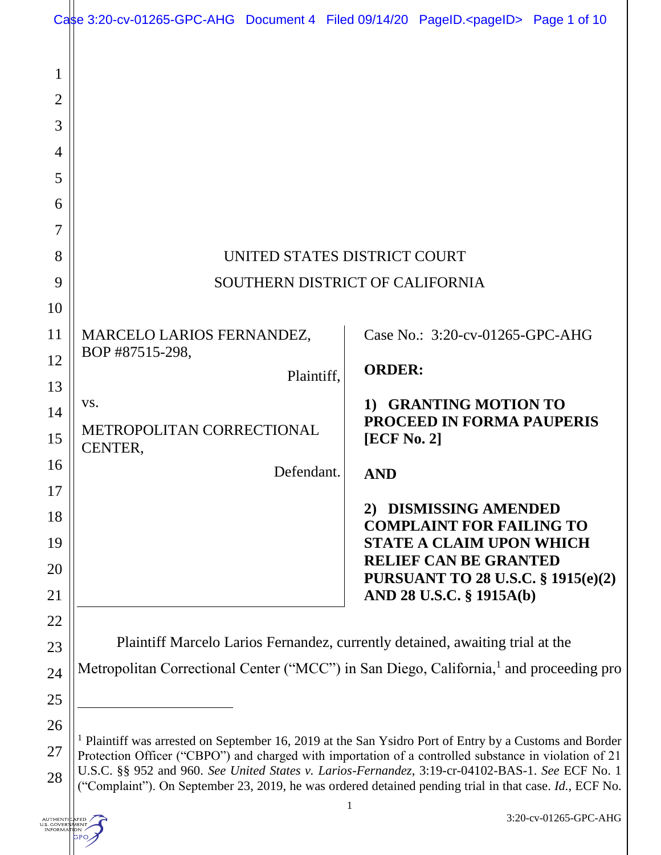|                          | Case 3:20-cv-01265-GPC-AHG Document 4 Filed 09/14/20 PageID. <pageid> Page 1 of 10</pageid>                                                                                                                                |            |               |                                                                 |  |
|--------------------------|----------------------------------------------------------------------------------------------------------------------------------------------------------------------------------------------------------------------------|------------|---------------|-----------------------------------------------------------------|--|
| 1<br>$\overline{2}$<br>3 |                                                                                                                                                                                                                            |            |               |                                                                 |  |
| 4                        |                                                                                                                                                                                                                            |            |               |                                                                 |  |
| 5                        |                                                                                                                                                                                                                            |            |               |                                                                 |  |
| 6                        |                                                                                                                                                                                                                            |            |               |                                                                 |  |
| 7                        |                                                                                                                                                                                                                            |            |               |                                                                 |  |
| 8                        | UNITED STATES DISTRICT COURT                                                                                                                                                                                               |            |               |                                                                 |  |
| 9                        | SOUTHERN DISTRICT OF CALIFORNIA                                                                                                                                                                                            |            |               |                                                                 |  |
| 10                       |                                                                                                                                                                                                                            |            |               |                                                                 |  |
| 11                       | MARCELO LARIOS FERNANDEZ,                                                                                                                                                                                                  |            |               | Case No.: 3:20-cv-01265-GPC-AHG                                 |  |
| 12                       | BOP #87515-298,                                                                                                                                                                                                            |            | <b>ORDER:</b> |                                                                 |  |
| 13                       |                                                                                                                                                                                                                            | Plaintiff, |               |                                                                 |  |
| 14                       | VS.                                                                                                                                                                                                                        |            | $\bf{1)}$     | <b>GRANTING MOTION TO</b><br><b>PROCEED IN FORMA PAUPERIS</b>   |  |
| 15                       | METROPOLITAN CORRECTIONAL<br>CENTER,                                                                                                                                                                                       |            |               | [ECF No. 2]                                                     |  |
| 16                       |                                                                                                                                                                                                                            | Defendant. | <b>AND</b>    |                                                                 |  |
| 17                       |                                                                                                                                                                                                                            |            |               | 2) DISMISSING AMENDED                                           |  |
| 18                       |                                                                                                                                                                                                                            |            |               | <b>COMPLAINT FOR FAILING TO</b>                                 |  |
| 19                       |                                                                                                                                                                                                                            |            |               | <b>STATE A CLAIM UPON WHICH</b><br><b>RELIEF CAN BE GRANTED</b> |  |
| <b>20</b>                |                                                                                                                                                                                                                            |            |               | <b>PURSUANT TO 28 U.S.C. § 1915(e)(2)</b>                       |  |
| 21<br>22                 |                                                                                                                                                                                                                            |            |               | AND 28 U.S.C. § 1915A(b)                                        |  |
| 23                       | Plaintiff Marcelo Larios Fernandez, currently detained, awaiting trial at the                                                                                                                                              |            |               |                                                                 |  |
| 24                       | Metropolitan Correctional Center ("MCC") in San Diego, California, <sup>1</sup> and proceeding pro                                                                                                                         |            |               |                                                                 |  |
| 25                       |                                                                                                                                                                                                                            |            |               |                                                                 |  |
| 26                       |                                                                                                                                                                                                                            |            |               |                                                                 |  |
| 27                       | <sup>1</sup> Plaintiff was arrested on September 16, 2019 at the San Ysidro Port of Entry by a Customs and Border<br>Protection Officer ("CBPO") and charged with importation of a controlled substance in violation of 21 |            |               |                                                                 |  |
| 28                       | U.S.C. §§ 952 and 960. See United States v. Larios-Fernandez, 3:19-cr-04102-BAS-1. See ECF No. 1<br>("Complaint"). On September 23, 2019, he was ordered detained pending trial in that case. Id., ECF No.                 |            |               |                                                                 |  |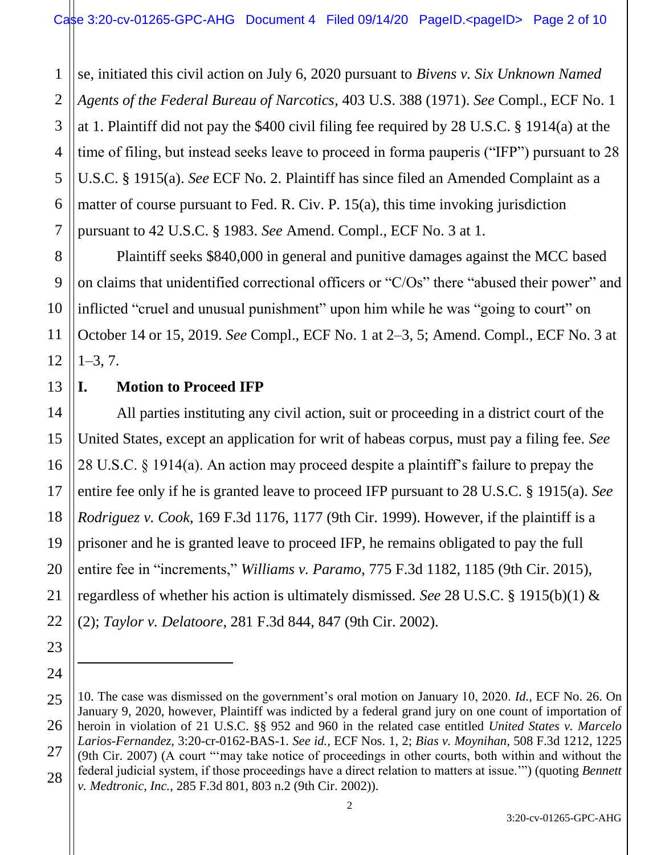1 se, initiated this civil action on July 6, 2020 pursuant to *Bivens v. Six Unknown Named Agents of the Federal Bureau of Narcotics*, 403 U.S. 388 (1971). *See* Compl., ECF No. 1 at 1. Plaintiff did not pay the \$400 civil filing fee required by 28 U.S.C. § 1914(a) at the time of filing, but instead seeks leave to proceed in forma pauperis ("IFP") pursuant to 28 U.S.C. § 1915(a). *See* ECF No. 2. Plaintiff has since filed an Amended Complaint as a matter of course pursuant to Fed. R. Civ. P. 15(a), this time invoking jurisdiction pursuant to 42 U.S.C. § 1983. *See* Amend. Compl., ECF No. 3 at 1.

Plaintiff seeks \$840,000 in general and punitive damages against the MCC based on claims that unidentified correctional officers or "C/Os" there "abused their power" and inflicted "cruel and unusual punishment" upon him while he was "going to court" on October 14 or 15, 2019. *See* Compl., ECF No. 1 at 2‒3, 5; Amend. Compl., ECF No. 3 at  $1-3, 7.$ 

#### **I. Motion to Proceed IFP**

All parties instituting any civil action, suit or proceeding in a district court of the United States, except an application for writ of habeas corpus, must pay a filing fee. *See* 28 U.S.C. § 1914(a). An action may proceed despite a plaintiff's failure to prepay the entire fee only if he is granted leave to proceed IFP pursuant to 28 U.S.C. § 1915(a). *See Rodriguez v. Cook*, 169 F.3d 1176, 1177 (9th Cir. 1999). However, if the plaintiff is a prisoner and he is granted leave to proceed IFP, he remains obligated to pay the full entire fee in "increments," *Williams v. Paramo*, 775 F.3d 1182, 1185 (9th Cir. 2015), regardless of whether his action is ultimately dismissed. *See* 28 U.S.C. § 1915(b)(1) & (2); *Taylor v. Delatoore*, 281 F.3d 844, 847 (9th Cir. 2002).

 $\ddot{\phantom{a}}$ 

<sup>10.</sup> The case was dismissed on the government's oral motion on January 10, 2020. *Id.*, ECF No. 26. On January 9, 2020, however, Plaintiff was indicted by a federal grand jury on one count of importation of heroin in violation of 21 U.S.C. §§ 952 and 960 in the related case entitled *United States v. Marcelo Larios-Fernandez*, 3:20-cr-0162-BAS-1. *See id.,* ECF Nos. 1, 2; *Bias v. Moynihan,* 508 F.3d 1212, 1225 (9th Cir. 2007) (A court "'may take notice of proceedings in other courts, both within and without the federal judicial system, if those proceedings have a direct relation to matters at issue.'") (quoting *Bennett v. Medtronic, Inc.*, 285 F.3d 801, 803 n.2 (9th Cir. 2002)).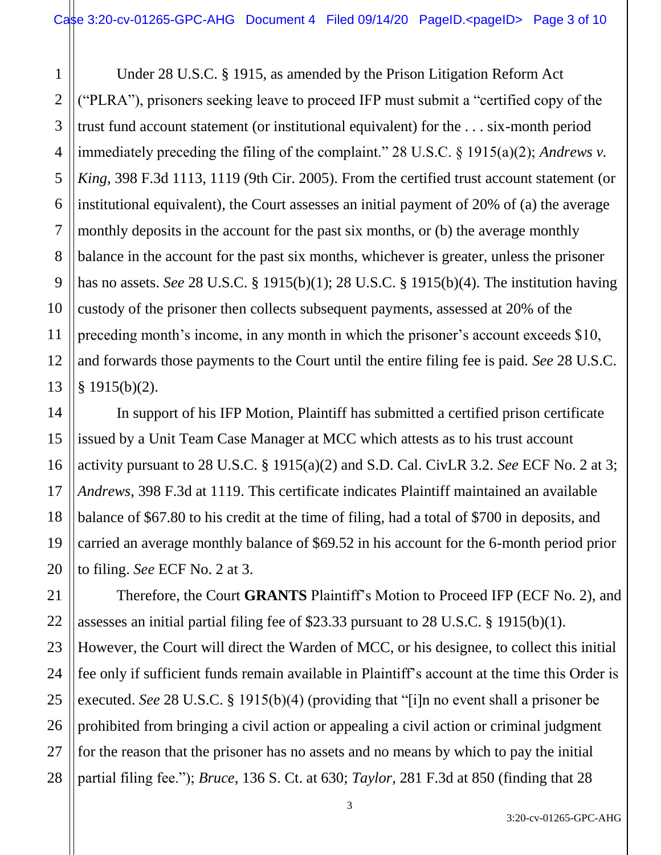1 2 3 Under 28 U.S.C. § 1915, as amended by the Prison Litigation Reform Act ("PLRA"), prisoners seeking leave to proceed IFP must submit a "certified copy of the trust fund account statement (or institutional equivalent) for the . . . six-month period immediately preceding the filing of the complaint." 28 U.S.C. § 1915(a)(2); *Andrews v. King*, 398 F.3d 1113, 1119 (9th Cir. 2005). From the certified trust account statement (or institutional equivalent), the Court assesses an initial payment of 20% of (a) the average monthly deposits in the account for the past six months, or (b) the average monthly balance in the account for the past six months, whichever is greater, unless the prisoner has no assets. *See* 28 U.S.C. § 1915(b)(1); 28 U.S.C. § 1915(b)(4). The institution having custody of the prisoner then collects subsequent payments, assessed at 20% of the preceding month's income, in any month in which the prisoner's account exceeds \$10, and forwards those payments to the Court until the entire filing fee is paid. *See* 28 U.S.C. § 1915(b)(2).

In support of his IFP Motion, Plaintiff has submitted a certified prison certificate issued by a Unit Team Case Manager at MCC which attests as to his trust account activity pursuant to 28 U.S.C. § 1915(a)(2) and S.D. Cal. CivLR 3.2. *See* ECF No. 2 at 3; *Andrews*, 398 F.3d at 1119. This certificate indicates Plaintiff maintained an available balance of \$67.80 to his credit at the time of filing, had a total of \$700 in deposits, and carried an average monthly balance of \$69.52 in his account for the 6-month period prior to filing. *See* ECF No. 2 at 3.

Therefore, the Court **GRANTS** Plaintiff's Motion to Proceed IFP (ECF No. 2), and assesses an initial partial filing fee of \$23.33 pursuant to 28 U.S.C. § 1915(b)(1). However, the Court will direct the Warden of MCC, or his designee, to collect this initial fee only if sufficient funds remain available in Plaintiff's account at the time this Order is executed. *See* 28 U.S.C. § 1915(b)(4) (providing that "[i]n no event shall a prisoner be prohibited from bringing a civil action or appealing a civil action or criminal judgment for the reason that the prisoner has no assets and no means by which to pay the initial partial filing fee."); *Bruce*, 136 S. Ct. at 630; *Taylor*, 281 F.3d at 850 (finding that 28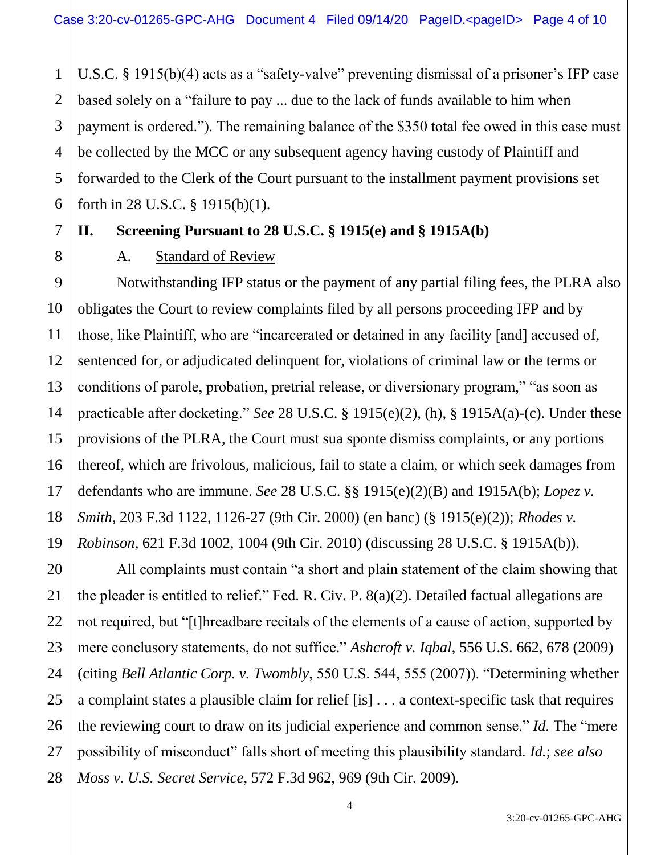1 2 3 4 5 6 U.S.C. § 1915(b)(4) acts as a "safety-valve" preventing dismissal of a prisoner's IFP case based solely on a "failure to pay ... due to the lack of funds available to him when payment is ordered."). The remaining balance of the \$350 total fee owed in this case must be collected by the MCC or any subsequent agency having custody of Plaintiff and forwarded to the Clerk of the Court pursuant to the installment payment provisions set forth in 28 U.S.C. § 1915(b)(1).

#### 7

8

11

#### **II. Screening Pursuant to 28 U.S.C. § 1915(e) and § 1915A(b)**

#### A. Standard of Review

9 10 12 13 14 15 16 17 18 19 Notwithstanding IFP status or the payment of any partial filing fees, the PLRA also obligates the Court to review complaints filed by all persons proceeding IFP and by those, like Plaintiff, who are "incarcerated or detained in any facility [and] accused of, sentenced for, or adjudicated delinquent for, violations of criminal law or the terms or conditions of parole, probation, pretrial release, or diversionary program," "as soon as practicable after docketing." *See* 28 U.S.C. § 1915(e)(2), (h), § 1915A(a)-(c). Under these provisions of the PLRA, the Court must sua sponte dismiss complaints, or any portions thereof, which are frivolous, malicious, fail to state a claim, or which seek damages from defendants who are immune. *See* 28 U.S.C. §§ 1915(e)(2)(B) and 1915A(b); *Lopez v. Smith*, 203 F.3d 1122, 1126-27 (9th Cir. 2000) (en banc) (§ 1915(e)(2)); *Rhodes v. Robinson*, 621 F.3d 1002, 1004 (9th Cir. 2010) (discussing 28 U.S.C. § 1915A(b)).

20 21 22 23 24 25 26 27 28 All complaints must contain "a short and plain statement of the claim showing that the pleader is entitled to relief." Fed. R. Civ. P. 8(a)(2). Detailed factual allegations are not required, but "[t]hreadbare recitals of the elements of a cause of action, supported by mere conclusory statements, do not suffice." *Ashcroft v. Iqbal*, 556 U.S. 662, 678 (2009) (citing *Bell Atlantic Corp. v. Twombly*, 550 U.S. 544, 555 (2007)). "Determining whether a complaint states a plausible claim for relief [is] . . . a context-specific task that requires the reviewing court to draw on its judicial experience and common sense." *Id.* The "mere possibility of misconduct" falls short of meeting this plausibility standard. *Id.*; *see also Moss v. U.S. Secret Service*, 572 F.3d 962, 969 (9th Cir. 2009).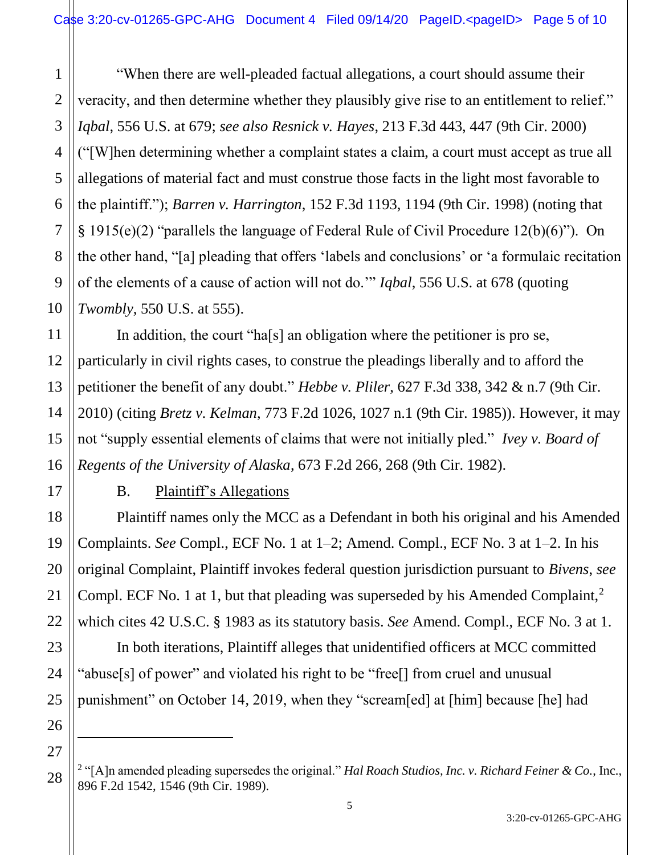1 2 3 4 5 6 7 8 9 10 "When there are well-pleaded factual allegations, a court should assume their veracity, and then determine whether they plausibly give rise to an entitlement to relief." *Iqbal*, 556 U.S. at 679; *see also Resnick v. Hayes*, 213 F.3d 443, 447 (9th Cir. 2000) ("[W]hen determining whether a complaint states a claim, a court must accept as true all allegations of material fact and must construe those facts in the light most favorable to the plaintiff."); *Barren v. Harrington*, 152 F.3d 1193, 1194 (9th Cir. 1998) (noting that § 1915(e)(2) "parallels the language of Federal Rule of Civil Procedure 12(b)(6)"). On the other hand, "[a] pleading that offers 'labels and conclusions' or 'a formulaic recitation of the elements of a cause of action will not do.'" *Iqbal*, 556 U.S. at 678 (quoting *Twombly*, 550 U.S. at 555).

In addition, the court "ha[s] an obligation where the petitioner is pro se, particularly in civil rights cases, to construe the pleadings liberally and to afford the petitioner the benefit of any doubt." *Hebbe v. Pliler*, 627 F.3d 338, 342 & n.7 (9th Cir. 2010) (citing *Bretz v. Kelman*, 773 F.2d 1026, 1027 n.1 (9th Cir. 1985)). However, it may not "supply essential elements of claims that were not initially pled." *Ivey v. Board of Regents of the University of Alaska*, 673 F.2d 266, 268 (9th Cir. 1982).

B. Plaintiff's Allegations

11

12

13

14

15

16

17

18

19

20

21

22

23

24

25

26

 $\ddot{\phantom{a}}$ 

27

Plaintiff names only the MCC as a Defendant in both his original and his Amended Complaints. *See* Compl., ECF No. 1 at 1–2; Amend. Compl., ECF No. 3 at 1–2. In his original Complaint, Plaintiff invokes federal question jurisdiction pursuant to *Bivens*, *see* Compl. ECF No. 1 at 1, but that pleading was superseded by his Amended Complaint,<sup>2</sup> which cites 42 U.S.C. § 1983 as its statutory basis. *See* Amend. Compl., ECF No. 3 at 1.

In both iterations, Plaintiff alleges that unidentified officers at MCC committed "abuse[s] of power" and violated his right to be "free[] from cruel and unusual punishment" on October 14, 2019, when they "scream[ed] at [him] because [he] had

<sup>28</sup> <sup>2</sup> "[A]n amended pleading supersedes the original." *Hal Roach Studios, Inc. v. Richard Feiner & Co.*, Inc., 896 F.2d 1542, 1546 (9th Cir. 1989).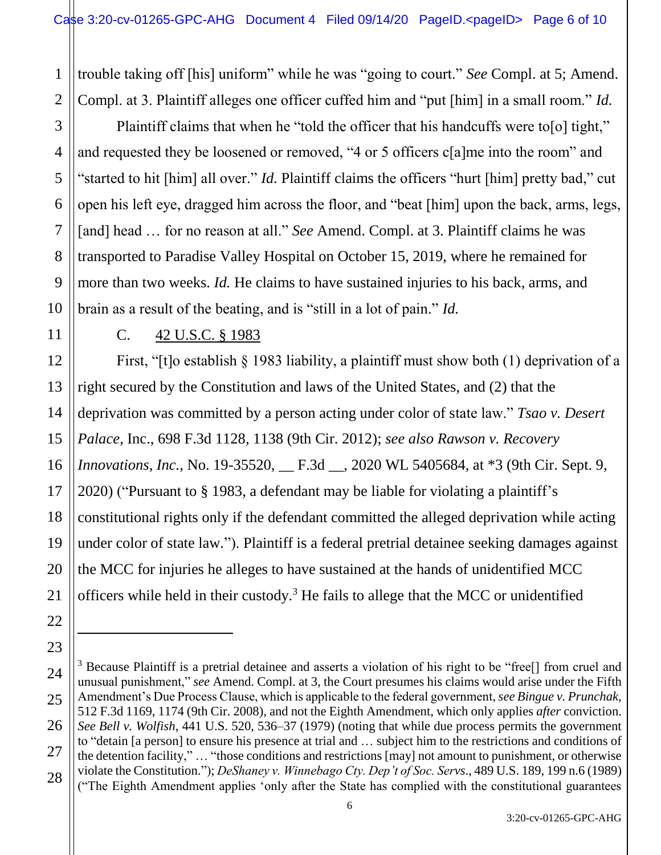1 2 trouble taking off [his] uniform" while he was "going to court." *See* Compl. at 5; Amend. Compl. at 3. Plaintiff alleges one officer cuffed him and "put [him] in a small room." *Id.*

Plaintiff claims that when he "told the officer that his handcuffs were to [o] tight," and requested they be loosened or removed, "4 or 5 officers c[a]me into the room" and "started to hit [him] all over." *Id.* Plaintiff claims the officers "hurt [him] pretty bad," cut open his left eye, dragged him across the floor, and "beat [him] upon the back, arms, legs, [and] head ... for no reason at all." *See* Amend. Compl. at 3. Plaintiff claims he was transported to Paradise Valley Hospital on October 15, 2019, where he remained for more than two weeks. *Id.* He claims to have sustained injuries to his back, arms, and brain as a result of the beating, and is "still in a lot of pain." *Id.*

 $\overline{a}$ 

3

4

5

6

#### C. 42 U.S.C. § 1983

First, "[t]o establish § 1983 liability, a plaintiff must show both (1) deprivation of a right secured by the Constitution and laws of the United States, and (2) that the deprivation was committed by a person acting under color of state law." *Tsao v. Desert Palace*, Inc., 698 F.3d 1128, 1138 (9th Cir. 2012); *see also Rawson v. Recovery Innovations, Inc., No.* 19-35520, <u></u> F.3d \_, 2020 WL 5405684, at \*3 (9th Cir. Sept. 9, 2020) ("Pursuant to § 1983, a defendant may be liable for violating a plaintiff's constitutional rights only if the defendant committed the alleged deprivation while acting under color of state law."). Plaintiff is a federal pretrial detainee seeking damages against the MCC for injuries he alleges to have sustained at the hands of unidentified MCC officers while held in their custody.<sup>3</sup> He fails to allege that the MCC or unidentified

<sup>&</sup>lt;sup>3</sup> Because Plaintiff is a pretrial detainee and asserts a violation of his right to be "free<sup>[]</sup> from cruel and unusual punishment," *see* Amend. Compl. at 3, the Court presumes his claims would arise under the Fifth Amendment's Due Process Clause, which is applicable to the federal government, *see Bingue v. Prunchak,*  512 F.3d 1169, 1174 (9th Cir. 2008), and not the Eighth Amendment, which only applies *after* conviction. *See Bell v. Wolfish*, 441 U.S. 520, 536–37 (1979) (noting that while due process permits the government to "detain [a person] to ensure his presence at trial and … subject him to the restrictions and conditions of the detention facility," … "those conditions and restrictions [may] not amount to punishment, or otherwise violate the Constitution."); *DeShaney v. Winnebago Cty. Dep't of Soc. Servs*., 489 U.S. 189, 199 n.6 (1989) ("The Eighth Amendment applies 'only after the State has complied with the constitutional guarantees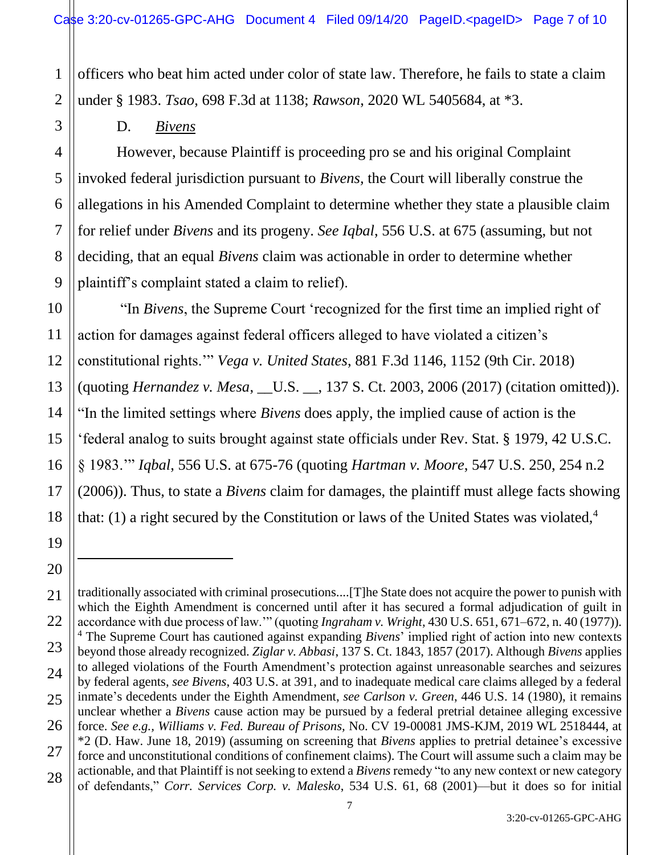officers who beat him acted under color of state law. Therefore, he fails to state a claim under § 1983. *Tsao*, 698 F.3d at 1138; *Rawson*, 2020 WL 5405684, at \*3.

D. *Bivens*

However, because Plaintiff is proceeding pro se and his original Complaint invoked federal jurisdiction pursuant to *Bivens,* the Court will liberally construe the allegations in his Amended Complaint to determine whether they state a plausible claim for relief under *Bivens* and its progeny. *See Iqbal*, 556 U.S. at 675 (assuming, but not deciding, that an equal *Bivens* claim was actionable in order to determine whether plaintiff's complaint stated a claim to relief).

"In *Bivens*, the Supreme Court 'recognized for the first time an implied right of action for damages against federal officers alleged to have violated a citizen's constitutional rights.'" *Vega v. United States*, 881 F.3d 1146, 1152 (9th Cir. 2018) (quoting *Hernandez v. Mesa*, \_\_U.S. \_\_, 137 S. Ct. 2003, 2006 (2017) (citation omitted)). "In the limited settings where *Bivens* does apply, the implied cause of action is the 'federal analog to suits brought against state officials under Rev. Stat. § 1979, 42 U.S.C. § 1983.'" *Iqbal*, 556 U.S. at 675-76 (quoting *Hartman v. Moore*, 547 U.S. 250, 254 n.2 (2006)). Thus, to state a *Bivens* claim for damages, the plaintiff must allege facts showing that: (1) a right secured by the Constitution or laws of the United States was violated,<sup>4</sup>

 $\overline{a}$ 

1

<sup>3</sup> 4 5 6 7 8 9 10 11 12 13 14 15 16 17 18 19 20 21 22 23 24 25 26 27 28

traditionally associated with criminal prosecutions....[T]he State does not acquire the power to punish with which the Eighth Amendment is concerned until after it has secured a formal adjudication of guilt in accordance with due process of law.'" (quoting *Ingraham v. Wright*, 430 U.S. 651, 671–672, n. 40 (1977)). <sup>4</sup> The Supreme Court has cautioned against expanding *Bivens*' implied right of action into new contexts beyond those already recognized. *Ziglar v. Abbasi*, 137 S. Ct. 1843, 1857 (2017). Although *Bivens* applies to alleged violations of the Fourth Amendment's protection against unreasonable searches and seizures by federal agents, *see Bivens*, 403 U.S. at 391, and to inadequate medical care claims alleged by a federal inmate's decedents under the Eighth Amendment, *see Carlson v. Green*, 446 U.S. 14 (1980), it remains unclear whether a *Bivens* cause action may be pursued by a federal pretrial detainee alleging excessive force. *See e.g., Williams v. Fed. Bureau of Prisons,* No. CV 19-00081 JMS-KJM, 2019 WL 2518444, at \*2 (D. Haw. June 18, 2019) (assuming on screening that *Bivens* applies to pretrial detainee's excessive force and unconstitutional conditions of confinement claims). The Court will assume such a claim may be actionable, and that Plaintiff is not seeking to extend a *Bivens* remedy "to any new context or new category of defendants," *Corr. Services Corp. v. Malesko*, 534 U.S. 61, 68 (2001)—but it does so for initial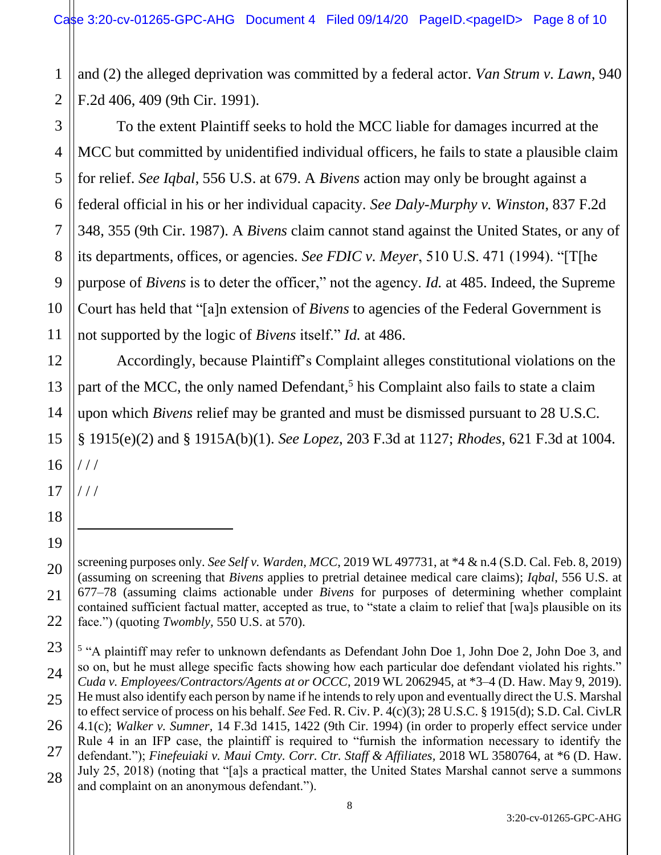1 2 and (2) the alleged deprivation was committed by a federal actor. *Van Strum v. Lawn*, 940 F.2d 406, 409 (9th Cir. 1991).

3 4 5 6 7 8 9 10 11 To the extent Plaintiff seeks to hold the MCC liable for damages incurred at the MCC but committed by unidentified individual officers, he fails to state a plausible claim for relief. *See Iqbal*, 556 U.S. at 679. A *Bivens* action may only be brought against a federal official in his or her individual capacity. *See Daly-Murphy v. Winston*, 837 F.2d 348, 355 (9th Cir. 1987). A *Bivens* claim cannot stand against the United States, or any of its departments, offices, or agencies. *See FDIC v. Meyer*, 510 U.S. 471 (1994). "[T[he purpose of *Bivens* is to deter the officer," not the agency. *Id.* at 485. Indeed, the Supreme Court has held that "[a]n extension of *Bivens* to agencies of the Federal Government is not supported by the logic of *Bivens* itself." *Id.* at 486.

Accordingly, because Plaintiff's Complaint alleges constitutional violations on the part of the MCC, the only named Defendant,<sup>5</sup> his Complaint also fails to state a claim upon which *Bivens* relief may be granted and must be dismissed pursuant to 28 U.S.C. § 1915(e)(2) and § 1915A(b)(1). *See Lopez*, 203 F.3d at 1127; *Rhodes*, 621 F.3d at 1004. / / /

17 / / /

 $\overline{a}$ 

12

13

14

15

16

18

19

20

21

screening purposes only. *See Self v. Warden, MCC*, 2019 WL 497731, at \*4 & n.4 (S.D. Cal. Feb. 8, 2019) (assuming on screening that *Bivens* applies to pretrial detainee medical care claims); *Iqbal*, 556 U.S. at 677‒78 (assuming claims actionable under *Bivens* for purposes of determining whether complaint contained sufficient factual matter, accepted as true, to "state a claim to relief that [wa]s plausible on its face.") (quoting *Twombly,* 550 U.S. at 570).

<sup>23</sup> 24 25 26 27 28 <sup>5</sup> "A plaintiff may refer to unknown defendants as Defendant John Doe 1, John Doe 2, John Doe 3, and so on, but he must allege specific facts showing how each particular doe defendant violated his rights." *Cuda v. Employees/Contractors/Agents at or OCCC*, 2019 WL 2062945, at \*3–4 (D. Haw. May 9, 2019). He must also identify each person by name if he intends to rely upon and eventually direct the U.S. Marshal to effect service of process on his behalf. *See* Fed. R. Civ. P. 4(c)(3); 28 U.S.C. § 1915(d); S.D. Cal. CivLR 4.1(c); *Walker v. Sumner,* 14 F.3d 1415, 1422 (9th Cir. 1994) (in order to properly effect service under Rule 4 in an IFP case, the plaintiff is required to "furnish the information necessary to identify the defendant."); *Finefeuiaki v. Maui Cmty. Corr. Ctr. Staff & Affiliates,* 2018 WL 3580764, at \*6 (D. Haw. July 25, 2018) (noting that "[a]s a practical matter, the United States Marshal cannot serve a summons and complaint on an anonymous defendant.").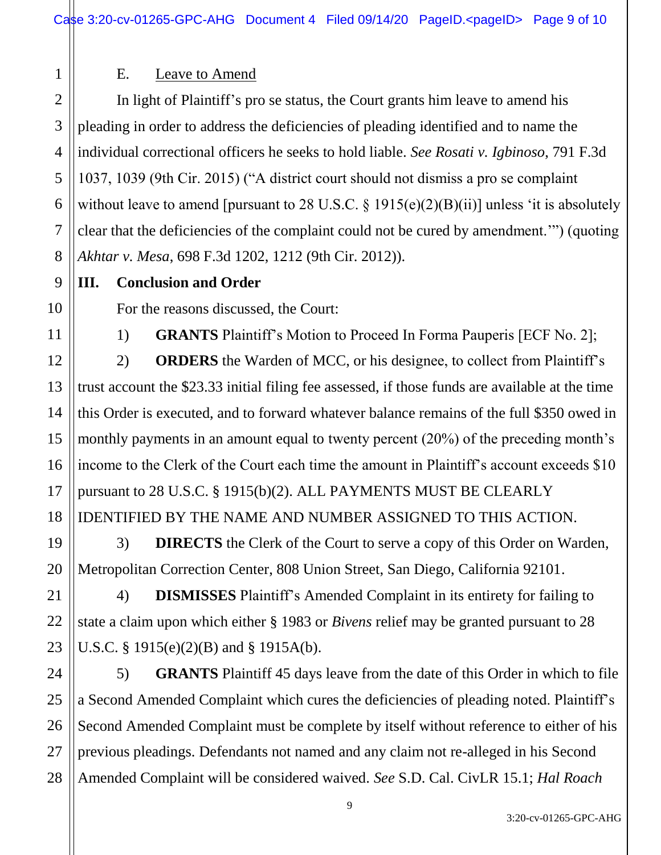# 1 2 3 4

5

6

7

8

9

10

11

12

13

14

15

16

17

18

19

20

21

22

23

## E. Leave to Amend

In light of Plaintiff's pro se status, the Court grants him leave to amend his pleading in order to address the deficiencies of pleading identified and to name the individual correctional officers he seeks to hold liable. *See Rosati v. Igbinoso*, 791 F.3d 1037, 1039 (9th Cir. 2015) ("A district court should not dismiss a pro se complaint without leave to amend [pursuant to 28 U.S.C.  $\S 1915(e)(2)(B)(ii)$ ] unless 'it is absolutely clear that the deficiencies of the complaint could not be cured by amendment.'") (quoting *Akhtar v. Mesa*, 698 F.3d 1202, 1212 (9th Cir. 2012)).

### **III. Conclusion and Order**

For the reasons discussed, the Court:

1) **GRANTS** Plaintiff's Motion to Proceed In Forma Pauperis [ECF No. 2];

2) **ORDERS** the Warden of MCC, or his designee, to collect from Plaintiff's trust account the \$23.33 initial filing fee assessed, if those funds are available at the time this Order is executed, and to forward whatever balance remains of the full \$350 owed in monthly payments in an amount equal to twenty percent (20%) of the preceding month's income to the Clerk of the Court each time the amount in Plaintiff's account exceeds \$10 pursuant to 28 U.S.C. § 1915(b)(2). ALL PAYMENTS MUST BE CLEARLY IDENTIFIED BY THE NAME AND NUMBER ASSIGNED TO THIS ACTION.

3) **DIRECTS** the Clerk of the Court to serve a copy of this Order on Warden, Metropolitan Correction Center, 808 Union Street, San Diego, California 92101.

4) **DISMISSES** Plaintiff's Amended Complaint in its entirety for failing to state a claim upon which either § 1983 or *Bivens* relief may be granted pursuant to 28 U.S.C. § 1915(e)(2)(B) and § 1915A(b).

24 25 26 27 28 5) **GRANTS** Plaintiff 45 days leave from the date of this Order in which to file a Second Amended Complaint which cures the deficiencies of pleading noted. Plaintiff's Second Amended Complaint must be complete by itself without reference to either of his previous pleadings. Defendants not named and any claim not re-alleged in his Second Amended Complaint will be considered waived. *See* S.D. Cal. CivLR 15.1; *Hal Roach*